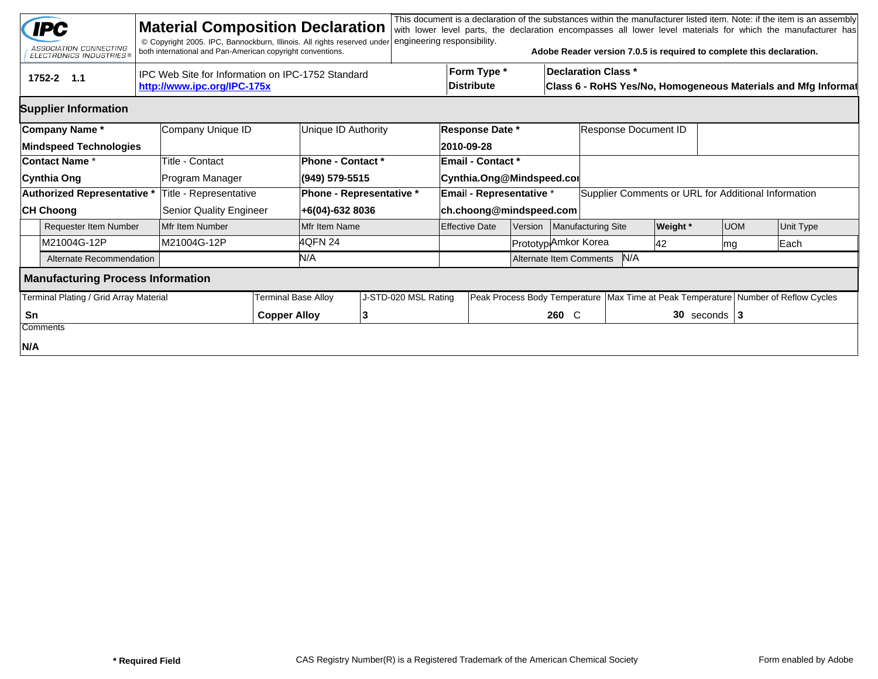| <b>Material Composition Declaration</b><br><b>IPC</b><br>© Copyright 2005. IPC, Bannockburn, Illinois. All rights reserved under<br>ASSOCIATION CONNECTING<br>both international and Pan-American copyright conventions.<br><b>ELECTRONICS INDUSTRIES®</b> |                                                    | engineering responsibility. |                                      |                           | Adobe Reader version 7.0.5 is required to complete this declaration. |                                                               |                  | This document is a declaration of the substances within the manufacturer listed item. Note: if the item is an assembly<br>with lower level parts, the declaration encompasses all lower level materials for which the manufacturer has |  |  |  |  |
|------------------------------------------------------------------------------------------------------------------------------------------------------------------------------------------------------------------------------------------------------------|----------------------------------------------------|-----------------------------|--------------------------------------|---------------------------|----------------------------------------------------------------------|---------------------------------------------------------------|------------------|----------------------------------------------------------------------------------------------------------------------------------------------------------------------------------------------------------------------------------------|--|--|--|--|
| IPC Web Site for Information on IPC-1752 Standard<br>tru<br>$1752 - 2$ 1.1<br>http://www.ipc.org/IPC-175x                                                                                                                                                  |                                                    |                             | Form Type *<br><b>Distribute</b>     |                           | Declaration Class *                                                  | Class 6 - RoHS Yes/No, Homogeneous Materials and Mfg Informat |                  |                                                                                                                                                                                                                                        |  |  |  |  |
| <b>Supplier Information</b>                                                                                                                                                                                                                                |                                                    |                             |                                      |                           |                                                                      |                                                               |                  |                                                                                                                                                                                                                                        |  |  |  |  |
| Company Name*<br>Company Unique ID<br><b>Mindspeed Technologies</b>                                                                                                                                                                                        | Unique ID Authority                                |                             | <b>Response Date *</b><br>2010-09-28 |                           | Response Document ID                                                 |                                                               |                  |                                                                                                                                                                                                                                        |  |  |  |  |
| Title - Contact<br><b>Contact Name *</b><br>Cynthia Ong<br>Program Manager                                                                                                                                                                                 | <b>Phone - Contact *</b><br>(949) 579-5515         |                             | Email - Contact *                    | Cynthia.Ong@Mindspeed.cor |                                                                      |                                                               |                  |                                                                                                                                                                                                                                        |  |  |  |  |
| Authorized Representative *<br>Title - Representative<br><b>CH Choong</b><br>Senior Quality Engineer                                                                                                                                                       | <b>Phone - Representative *</b><br>+6(04)-632 8036 |                             | <b>Email - Representative *</b>      | ch.choong@mindspeed.com   | Supplier Comments or URL for Additional Information                  |                                                               |                  |                                                                                                                                                                                                                                        |  |  |  |  |
| <b>Requester Item Number</b><br>Mfr Item Number                                                                                                                                                                                                            | Mfr Item Name                                      |                             | <b>Effective Date</b>                | Version                   | Manufacturing Site                                                   | <b>Weight</b> *                                               | <b>UOM</b>       | Unit Type                                                                                                                                                                                                                              |  |  |  |  |
| M21004G-12P<br>M21004G-12P                                                                                                                                                                                                                                 | 4QFN 24                                            |                             |                                      | Prototyp Amkor Korea      |                                                                      | 42                                                            | mg               | Each                                                                                                                                                                                                                                   |  |  |  |  |
| Alternate Recommendation                                                                                                                                                                                                                                   | N/A                                                |                             |                                      | Alternate Item Comments   | N/A                                                                  |                                                               |                  |                                                                                                                                                                                                                                        |  |  |  |  |
| <b>Manufacturing Process Information</b>                                                                                                                                                                                                                   |                                                    |                             |                                      |                           |                                                                      |                                                               |                  |                                                                                                                                                                                                                                        |  |  |  |  |
| Terminal Plating / Grid Array Material                                                                                                                                                                                                                     | <b>Terminal Base Alloy</b>                         | J-STD-020 MSL Rating        |                                      |                           |                                                                      |                                                               |                  | Peak Process Body Temperature   Max Time at Peak Temperature   Number of Reflow Cycles                                                                                                                                                 |  |  |  |  |
| Sn<br>Comments                                                                                                                                                                                                                                             | <b>Copper Alloy</b><br>13                          |                             |                                      | 260 C                     |                                                                      |                                                               | $30$ seconds   3 |                                                                                                                                                                                                                                        |  |  |  |  |
| N/A                                                                                                                                                                                                                                                        |                                                    |                             |                                      |                           |                                                                      |                                                               |                  |                                                                                                                                                                                                                                        |  |  |  |  |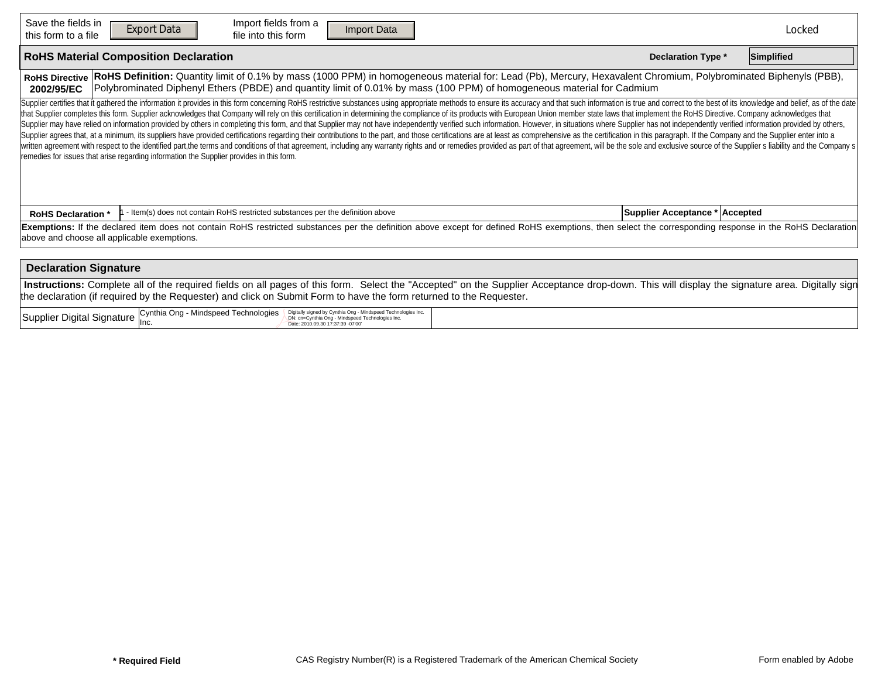| Save the fields in<br>this form to a file                                                                                                                                                                                                                                                                                          | Import fields from a<br><b>Export Data</b><br><b>Import Data</b><br><b>Reset Form</b><br>file into this form                                                                                                                                                                                                                                                                                                                                                                                                                                                                                                                                                                                                                                                                                                                                                                                                                                                                                                                                                                                                                                                                                                                                                       |  | Locked |  |  |  |  |  |  |  |  |
|------------------------------------------------------------------------------------------------------------------------------------------------------------------------------------------------------------------------------------------------------------------------------------------------------------------------------------|--------------------------------------------------------------------------------------------------------------------------------------------------------------------------------------------------------------------------------------------------------------------------------------------------------------------------------------------------------------------------------------------------------------------------------------------------------------------------------------------------------------------------------------------------------------------------------------------------------------------------------------------------------------------------------------------------------------------------------------------------------------------------------------------------------------------------------------------------------------------------------------------------------------------------------------------------------------------------------------------------------------------------------------------------------------------------------------------------------------------------------------------------------------------------------------------------------------------------------------------------------------------|--|--------|--|--|--|--|--|--|--|--|
|                                                                                                                                                                                                                                                                                                                                    | <b>RoHS Material Composition Declaration</b><br><b>Declaration Type *</b><br>Simplified                                                                                                                                                                                                                                                                                                                                                                                                                                                                                                                                                                                                                                                                                                                                                                                                                                                                                                                                                                                                                                                                                                                                                                            |  |        |  |  |  |  |  |  |  |  |
| RoHS Definition: Quantity limit of 0.1% by mass (1000 PPM) in homogeneous material for: Lead (Pb), Mercury, Hexavalent Chromium, Polybrominated Biphenyls (PBB),<br><b>RoHS Directive</b><br>Polybrominated Diphenyl Ethers (PBDE) and quantity limit of 0.01% by mass (100 PPM) of homogeneous material for Cadmium<br>2002/95/EC |                                                                                                                                                                                                                                                                                                                                                                                                                                                                                                                                                                                                                                                                                                                                                                                                                                                                                                                                                                                                                                                                                                                                                                                                                                                                    |  |        |  |  |  |  |  |  |  |  |
|                                                                                                                                                                                                                                                                                                                                    | Supplier certifies that it gathered the information it provides in this form concerning RoHS restrictive substances using appropriate methods to ensure its accuracy and that such information is true and correct to the best<br>that Supplier completes this form. Supplier acknowledges that Company will rely on this certification in determining the compliance of its products with European Union member state laws that implement the RoHS Directive. C<br>Supplier may have relied on information provided by others in completing this form, and that Supplier may not have independently verified such information. However, in situations where Supplier has not independently verifi<br>Supplier agrees that, at a minimum, its suppliers have provided certifications regarding their contributions to the part, and those certifications are at least as comprehensive as the certification in this paragraph. If th<br>written agreement with respect to the identified part,the terms and conditions of that agreement, including any warranty rights and or remedies provided as part of that agreement, will be the sole and exclusive source of t<br>remedies for issues that arise regarding information the Supplier provides in this form. |  |        |  |  |  |  |  |  |  |  |
| <b>RoHS Declaration *</b>                                                                                                                                                                                                                                                                                                          | Supplier Acceptance * Accepted                                                                                                                                                                                                                                                                                                                                                                                                                                                                                                                                                                                                                                                                                                                                                                                                                                                                                                                                                                                                                                                                                                                                                                                                                                     |  |        |  |  |  |  |  |  |  |  |
| Exemptions: If the declared item does not contain RoHS restricted substances per the definition above except for defined RoHS exemptions, then select the corresponding response in the RoHS Declaration<br>above and choose all applicable exemptions.                                                                            |                                                                                                                                                                                                                                                                                                                                                                                                                                                                                                                                                                                                                                                                                                                                                                                                                                                                                                                                                                                                                                                                                                                                                                                                                                                                    |  |        |  |  |  |  |  |  |  |  |
| <b>Declaration Signature</b>                                                                                                                                                                                                                                                                                                       |                                                                                                                                                                                                                                                                                                                                                                                                                                                                                                                                                                                                                                                                                                                                                                                                                                                                                                                                                                                                                                                                                                                                                                                                                                                                    |  |        |  |  |  |  |  |  |  |  |
| Instructions: Complete all of the required fields on all pages of this form. Select the "Accepted" on the Supplier Acceptance drop-down. This will display the signature area. Digitally sign<br>the declaration (if required by the Requester) and click on Submit Form to have the form returned to the Requester.               |                                                                                                                                                                                                                                                                                                                                                                                                                                                                                                                                                                                                                                                                                                                                                                                                                                                                                                                                                                                                                                                                                                                                                                                                                                                                    |  |        |  |  |  |  |  |  |  |  |
|                                                                                                                                                                                                                                                                                                                                    | Supplier Digital Signature Cynthia Ong - Mindspeed Technologies<br>Digitally signed by Cynthia Ong - Mindspeed Technologies Inc.<br>DN: cn=Cynthia Ong - Mindspeed Technologies Inc.<br>Date: 2010.09.30 17:37:39 -07'00'                                                                                                                                                                                                                                                                                                                                                                                                                                                                                                                                                                                                                                                                                                                                                                                                                                                                                                                                                                                                                                          |  |        |  |  |  |  |  |  |  |  |